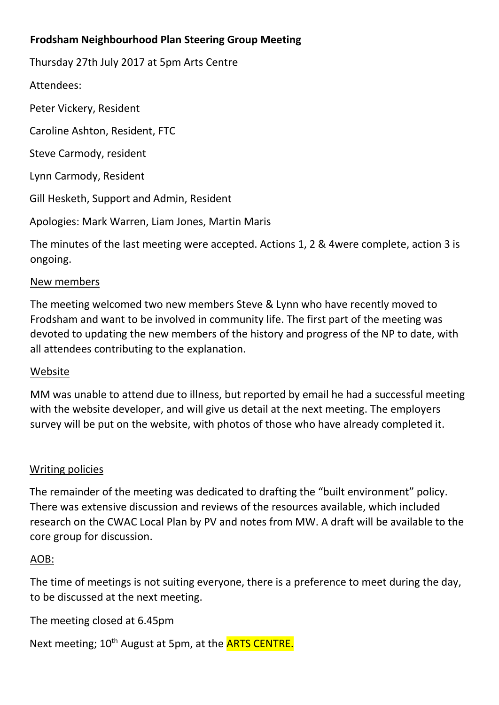## **Frodsham Neighbourhood Plan Steering Group Meeting**

Thursday 27th July 2017 at 5pm Arts Centre

Attendees:

Peter Vickery, Resident

Caroline Ashton, Resident, FTC

Steve Carmody, resident

Lynn Carmody, Resident

Gill Hesketh, Support and Admin, Resident

Apologies: Mark Warren, Liam Jones, Martin Maris

The minutes of the last meeting were accepted. Actions 1, 2 & 4were complete, action 3 is ongoing.

### New members

The meeting welcomed two new members Steve & Lynn who have recently moved to Frodsham and want to be involved in community life. The first part of the meeting was devoted to updating the new members of the history and progress of the NP to date, with all attendees contributing to the explanation.

### Website

MM was unable to attend due to illness, but reported by email he had a successful meeting with the website developer, and will give us detail at the next meeting. The employers survey will be put on the website, with photos of those who have already completed it.

### Writing policies

The remainder of the meeting was dedicated to drafting the "built environment" policy. There was extensive discussion and reviews of the resources available, which included research on the CWAC Local Plan by PV and notes from MW. A draft will be available to the core group for discussion.

### AOB:

The time of meetings is not suiting everyone, there is a preference to meet during the day, to be discussed at the next meeting.

The meeting closed at 6.45pm

Next meeting; 10<sup>th</sup> August at 5pm, at the **ARTS CENTRE.**